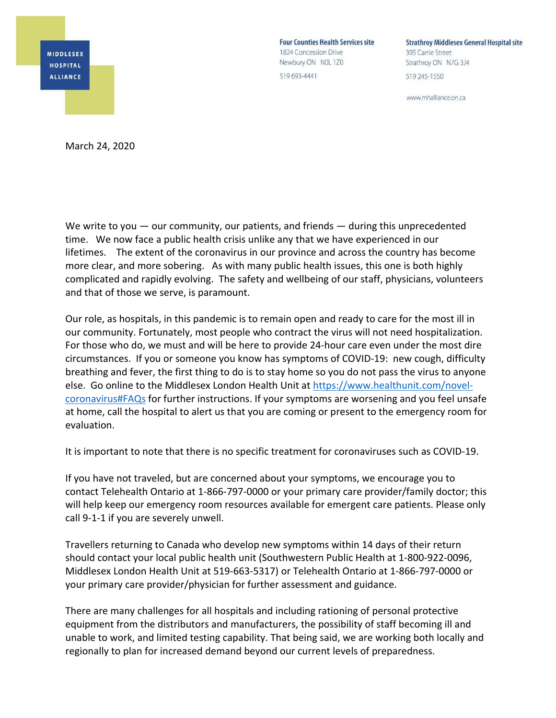

**Four Counties Health Services site** 1824 Concession Drive Newbury ON NOL 1Z0 519 693-4441

**Strathroy Middlesex General Hospital site** 395 Carrie Street Strathroy ON N7G 3J4 519 245-1550

www.mhalliance.on.ca

March 24, 2020

We write to you — our community, our patients, and friends — during this unprecedented time. We now face a public health crisis unlike any that we have experienced in our lifetimes. The extent of the coronavirus in our province and across the country has become more clear, and more sobering. As with many public health issues, this one is both highly complicated and rapidly evolving. The safety and wellbeing of our staff, physicians, volunteers and that of those we serve, is paramount.

Our role, as hospitals, in this pandemic is to remain open and ready to care for the most ill in our community. Fortunately, most people who contract the virus will not need hospitalization. For those who do, we must and will be here to provide 24‐hour care even under the most dire circumstances. If you or someone you know has symptoms of COVID‐19: new cough, difficulty breathing and fever, the first thing to do is to stay home so you do not pass the virus to anyone else. Go online to the Middlesex London Health Unit at https://www.healthunit.com/novel‐ coronavirus#FAQs for further instructions. If your symptoms are worsening and you feel unsafe at home, call the hospital to alert us that you are coming or present to the emergency room for evaluation.

It is important to note that there is no specific treatment for coronaviruses such as COVID‐19.

If you have not traveled, but are concerned about your symptoms, we encourage you to contact Telehealth Ontario at 1‐866‐797‐0000 or your primary care provider/family doctor; this will help keep our emergency room resources available for emergent care patients. Please only call 9-1-1 if you are severely unwell.

Travellers returning to Canada who develop new symptoms within 14 days of their return should contact your local public health unit (Southwestern Public Health at 1‐800‐922‐0096, Middlesex London Health Unit at 519‐663‐5317) or Telehealth Ontario at 1‐866‐797‐0000 or your primary care provider/physician for further assessment and guidance.

There are many challenges for all hospitals and including rationing of personal protective equipment from the distributors and manufacturers, the possibility of staff becoming ill and unable to work, and limited testing capability. That being said, we are working both locally and regionally to plan for increased demand beyond our current levels of preparedness.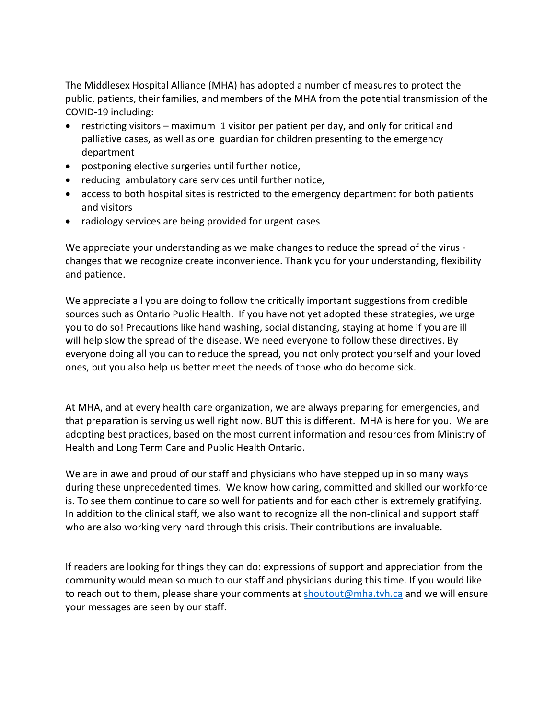The Middlesex Hospital Alliance (MHA) has adopted a number of measures to protect the public, patients, their families, and members of the MHA from the potential transmission of the COVID‐19 including:

- restricting visitors maximum 1 visitor per patient per day, and only for critical and palliative cases, as well as one guardian for children presenting to the emergency department
- postponing elective surgeries until further notice,
- reducing ambulatory care services until further notice,
- access to both hospital sites is restricted to the emergency department for both patients and visitors
- radiology services are being provided for urgent cases

We appreciate your understanding as we make changes to reduce the spread of the virus ‐ changes that we recognize create inconvenience. Thank you for your understanding, flexibility and patience.

We appreciate all you are doing to follow the critically important suggestions from credible sources such as Ontario Public Health. If you have not yet adopted these strategies, we urge you to do so! Precautions like hand washing, social distancing, staying at home if you are ill will help slow the spread of the disease. We need everyone to follow these directives. By everyone doing all you can to reduce the spread, you not only protect yourself and your loved ones, but you also help us better meet the needs of those who do become sick.

At MHA, and at every health care organization, we are always preparing for emergencies, and that preparation is serving us well right now. BUT this is different. MHA is here for you. We are adopting best practices, based on the most current information and resources from Ministry of Health and Long Term Care and Public Health Ontario.

We are in awe and proud of our staff and physicians who have stepped up in so many ways during these unprecedented times. We know how caring, committed and skilled our workforce is. To see them continue to care so well for patients and for each other is extremely gratifying. In addition to the clinical staff, we also want to recognize all the non-clinical and support staff who are also working very hard through this crisis. Their contributions are invaluable.

If readers are looking for things they can do: expressions of support and appreciation from the community would mean so much to our staff and physicians during this time. If you would like to reach out to them, please share your comments at shoutout@mha.tvh.ca and we will ensure your messages are seen by our staff.